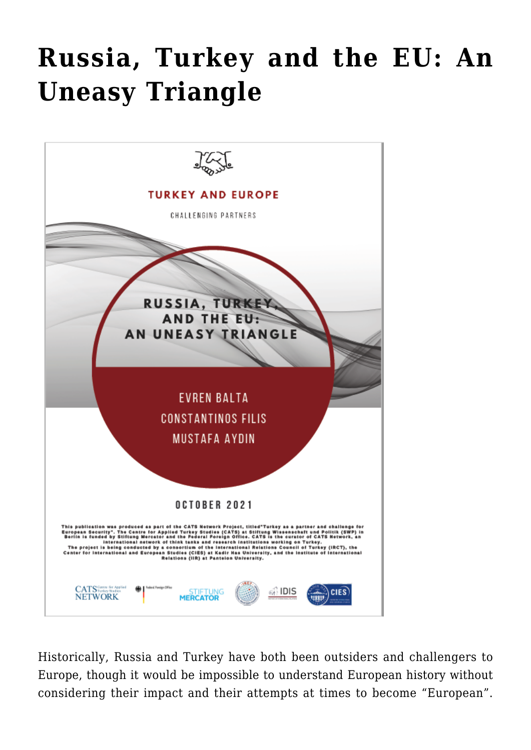## **[Russia, Turkey and the EU: An](https://www.uikpanorama.com/blog/2021/10/05/cats-russia-turkey-and-the-eu-an-uneasy-triangle/) [Uneasy Triangle](https://www.uikpanorama.com/blog/2021/10/05/cats-russia-turkey-and-the-eu-an-uneasy-triangle/)**



Historically, Russia and Turkey have both been outsiders and challengers to Europe, though it would be impossible to understand European history without considering their impact and their attempts at times to become "European".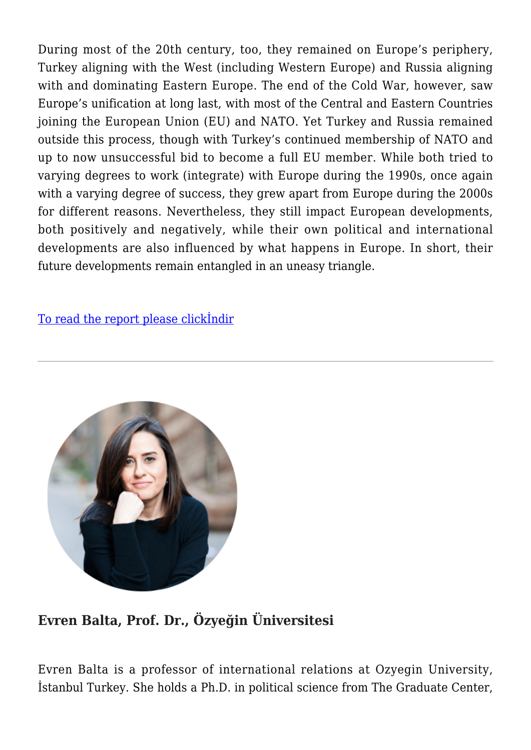During most of the 20th century, too, they remained on Europe's periphery, Turkey aligning with the West (including Western Europe) and Russia aligning with and dominating Eastern Europe. The end of the Cold War, however, saw Europe's unification at long last, with most of the Central and Eastern Countries joining the European Union (EU) and NATO. Yet Turkey and Russia remained outside this process, though with Turkey's continued membership of NATO and up to now unsuccessful bid to become a full EU member. While both tried to varying degrees to work (integrate) with Europe during the 1990s, once again with a varying degree of success, they grew apart from Europe during the 2000s for different reasons. Nevertheless, they still impact European developments, both positively and negatively, while their own political and international developments are also influenced by what happens in Europe. In short, their future developments remain entangled in an uneasy triangle.

[To read the report please clickİndir](https://www.uikpanorama.com/wp-content/uploads/2021/10/CATS-Russia-Turkey-and-the-EU-An-Uneasy-Triangle.pdf)



## **Evren Balta, Prof. Dr., Özyeğin Üniversitesi**

Evren Balta is a professor of international relations at Ozyegin University, İstanbul Turkey. She holds a Ph.D. in political science from The Graduate Center,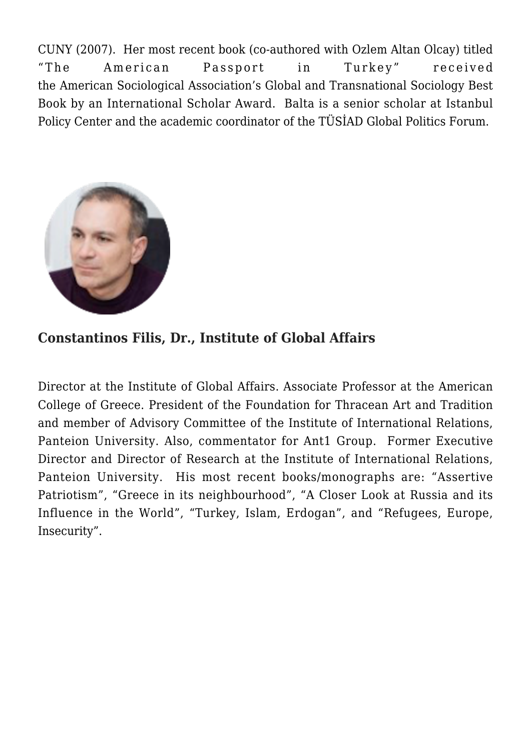CUNY (2007). Her most recent book (co-authored with Ozlem Altan Olcay) titled "The American Passport in Turkey" received the American Sociological Association's Global and Transnational Sociology Best Book by an International Scholar Award. Balta is a senior scholar at Istanbul Policy Center and the academic coordinator of the TÜSİAD Global Politics Forum.



## **Constantinos Filis, Dr., Institute of Global Affairs**

Director at the Institute of Global Affairs. Associate Professor at the American College of Greece. President of the Foundation for Thracean Art and Tradition and member of Advisory Committee of the Institute of International Relations, Panteion University. Also, commentator for Ant1 Group. Former Executive Director and Director of Research at the Institute of International Relations, Panteion University. His most recent books/monographs are: "Assertive Patriotism", "Greece in its neighbourhood", "A Closer Look at Russia and its Influence in the World", "Turkey, Islam, Erdogan", and "Refugees, Europe, Insecurity".